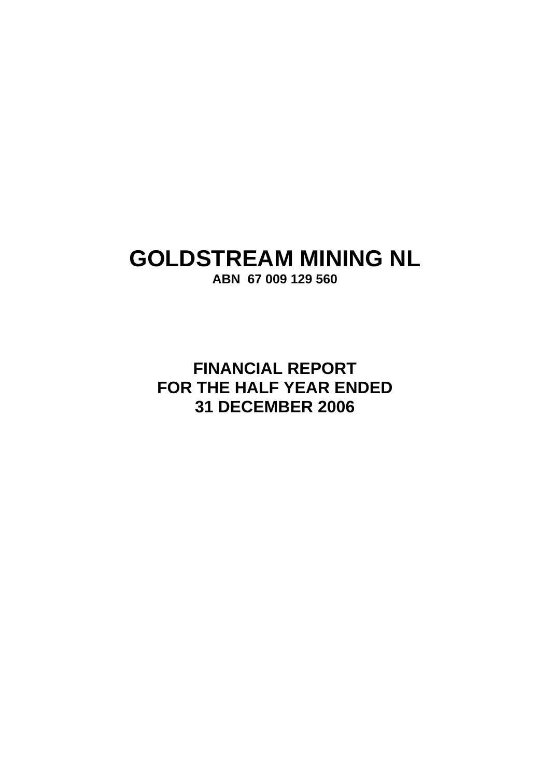**ABN 67 009 129 560** 

**FINANCIAL REPORT FOR THE HALF YEAR ENDED 31 DECEMBER 2006**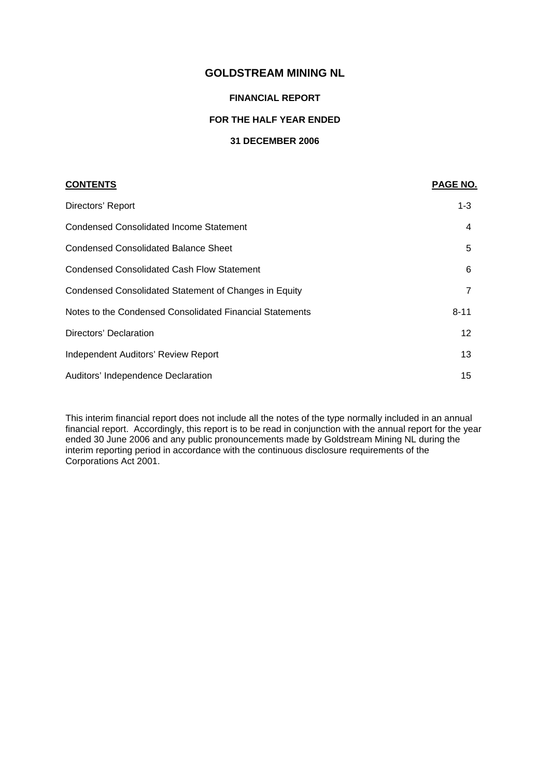# **FINANCIAL REPORT**

### **FOR THE HALF YEAR ENDED**

# **31 DECEMBER 2006**

| <b>CONTENTS</b>                                          | <b>PAGE NO.</b> |
|----------------------------------------------------------|-----------------|
| Directors' Report                                        | $1 - 3$         |
| <b>Condensed Consolidated Income Statement</b>           | 4               |
| <b>Condensed Consolidated Balance Sheet</b>              | 5               |
| <b>Condensed Consolidated Cash Flow Statement</b>        | 6               |
| Condensed Consolidated Statement of Changes in Equity    | 7               |
| Notes to the Condensed Consolidated Financial Statements | $8 - 11$        |
| Directors' Declaration                                   | 12              |
| Independent Auditors' Review Report                      | 13              |
| Auditors' Independence Declaration                       | 15              |
|                                                          |                 |

This interim financial report does not include all the notes of the type normally included in an annual financial report. Accordingly, this report is to be read in conjunction with the annual report for the year ended 30 June 2006 and any public pronouncements made by Goldstream Mining NL during the interim reporting period in accordance with the continuous disclosure requirements of the Corporations Act 2001.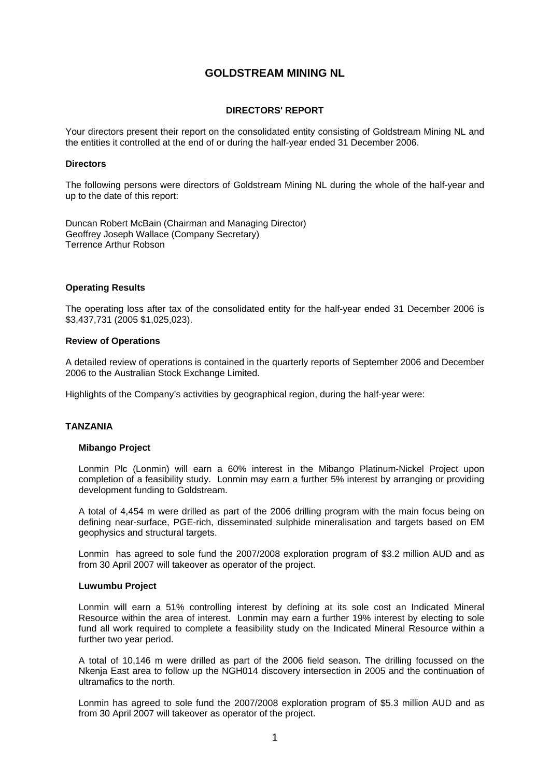#### **DIRECTORS' REPORT**

Your directors present their report on the consolidated entity consisting of Goldstream Mining NL and the entities it controlled at the end of or during the half-year ended 31 December 2006.

#### **Directors**

The following persons were directors of Goldstream Mining NL during the whole of the half-year and up to the date of this report:

Duncan Robert McBain (Chairman and Managing Director) Geoffrey Joseph Wallace (Company Secretary) Terrence Arthur Robson

#### **Operating Results**

The operating loss after tax of the consolidated entity for the half-year ended 31 December 2006 is \$3,437,731 (2005 \$1,025,023).

#### **Review of Operations**

A detailed review of operations is contained in the quarterly reports of September 2006 and December 2006 to the Australian Stock Exchange Limited.

Highlights of the Company's activities by geographical region, during the half-year were:

#### **TANZANIA**

#### **Mibango Project**

 Lonmin Plc (Lonmin) will earn a 60% interest in the Mibango Platinum-Nickel Project upon completion of a feasibility study. Lonmin may earn a further 5% interest by arranging or providing development funding to Goldstream.

 A total of 4,454 m were drilled as part of the 2006 drilling program with the main focus being on defining near-surface, PGE-rich, disseminated sulphide mineralisation and targets based on EM geophysics and structural targets.

 Lonmin has agreed to sole fund the 2007/2008 exploration program of \$3.2 million AUD and as from 30 April 2007 will takeover as operator of the project.

#### **Luwumbu Project**

 Lonmin will earn a 51% controlling interest by defining at its sole cost an Indicated Mineral Resource within the area of interest. Lonmin may earn a further 19% interest by electing to sole fund all work required to complete a feasibility study on the Indicated Mineral Resource within a further two year period.

 A total of 10,146 m were drilled as part of the 2006 field season. The drilling focussed on the Nkenja East area to follow up the NGH014 discovery intersection in 2005 and the continuation of ultramafics to the north.

 Lonmin has agreed to sole fund the 2007/2008 exploration program of \$5.3 million AUD and as from 30 April 2007 will takeover as operator of the project.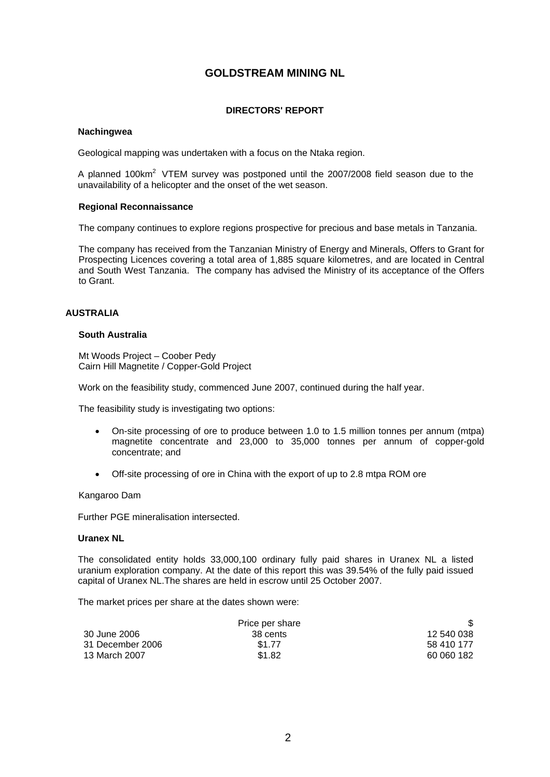#### **DIRECTORS' REPORT**

#### **Nachingwea**

Geological mapping was undertaken with a focus on the Ntaka region.

A planned 100km<sup>2</sup> VTEM survey was postponed until the 2007/2008 field season due to the unavailability of a helicopter and the onset of the wet season.

#### **Regional Reconnaissance**

The company continues to explore regions prospective for precious and base metals in Tanzania.

 The company has received from the Tanzanian Ministry of Energy and Minerals, Offers to Grant for Prospecting Licences covering a total area of 1,885 square kilometres, and are located in Central and South West Tanzania. The company has advised the Ministry of its acceptance of the Offers to Grant.

#### **AUSTRALIA**

#### **South Australia**

 Mt Woods Project – Coober Pedy Cairn Hill Magnetite / Copper-Gold Project

Work on the feasibility study, commenced June 2007, continued during the half year.

The feasibility study is investigating two options:

- On-site processing of ore to produce between 1.0 to 1.5 million tonnes per annum (mtpa) magnetite concentrate and 23,000 to 35,000 tonnes per annum of copper-gold concentrate; and
- Off-site processing of ore in China with the export of up to 2.8 mtpa ROM ore

#### Kangaroo Dam

Further PGE mineralisation intersected.

#### **Uranex NL**

The consolidated entity holds 33,000,100 ordinary fully paid shares in Uranex NL a listed uranium exploration company. At the date of this report this was 39.54% of the fully paid issued capital of Uranex NL.The shares are held in escrow until 25 October 2007.

The market prices per share at the dates shown were:

|                  | Price per share |            |
|------------------|-----------------|------------|
| 30 June 2006     | 38 cents        | 12 540 038 |
| 31 December 2006 | \$1.77          | 58 410 177 |
| 13 March 2007    | \$1.82          | 60 060 182 |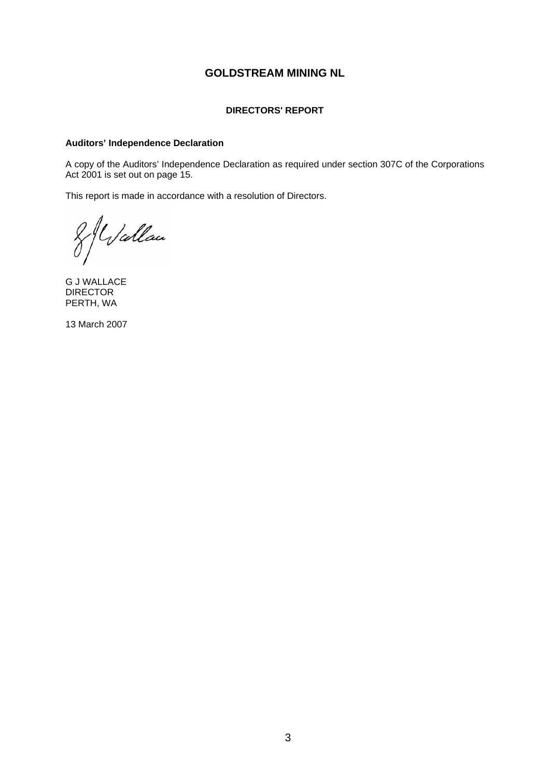#### **DIRECTORS' REPORT**

#### **Auditors' Independence Declaration**

A copy of the Auditors' Independence Declaration as required under section 307C of the Corporations Act 2001 is set out on page 15.

This report is made in accordance with a resolution of Directors.

& Wallau

G J WALLACE **DIRECTOR** PERTH, WA

13 March 2007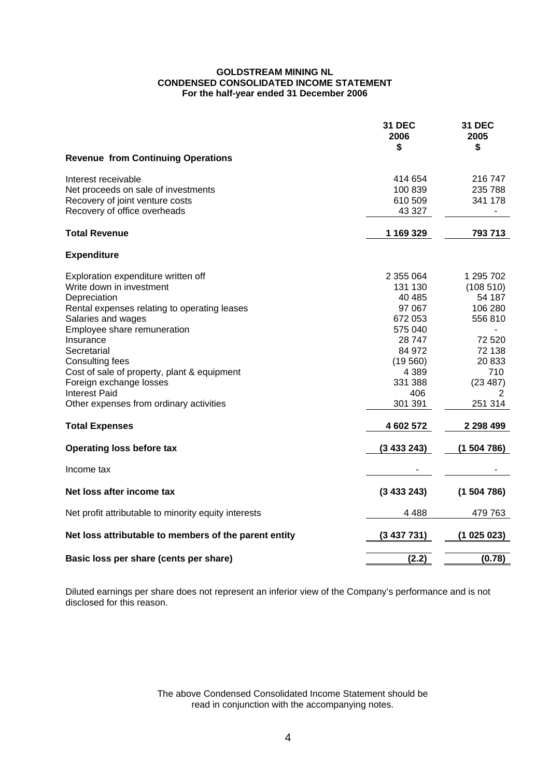#### **GOLDSTREAM MINING NL CONDENSED CONSOLIDATED INCOME STATEMENT For the half-year ended 31 December 2006**

|                                                       | <b>31 DEC</b><br>2006<br>\$ | <b>31 DEC</b><br>2005<br>\$ |
|-------------------------------------------------------|-----------------------------|-----------------------------|
| <b>Revenue from Continuing Operations</b>             |                             |                             |
| Interest receivable                                   | 414 654                     | 216 747                     |
| Net proceeds on sale of investments                   | 100 839                     | 235 788                     |
| Recovery of joint venture costs                       | 610 509                     | 341 178                     |
| Recovery of office overheads                          | 43 327                      | $\blacksquare$              |
| <b>Total Revenue</b>                                  | 1 169 329                   | 793 713                     |
| <b>Expenditure</b>                                    |                             |                             |
| Exploration expenditure written off                   | 2 355 064                   | 1 295 702                   |
| Write down in investment                              | 131 130                     | (108510)                    |
| Depreciation                                          | 40 4 85                     | 54 187                      |
| Rental expenses relating to operating leases          | 97 067                      | 106 280                     |
| Salaries and wages                                    | 672 053                     | 556 810                     |
| Employee share remuneration                           | 575 040                     |                             |
| Insurance<br>Secretarial                              | 28747<br>84 972             | 72 5 20<br>72 138           |
| <b>Consulting fees</b>                                | (19560)                     | 20 833                      |
| Cost of sale of property, plant & equipment           | 4 3 8 9                     | 710                         |
| Foreign exchange losses                               | 331 388                     | (23 487)                    |
| <b>Interest Paid</b>                                  | 406                         | 2                           |
| Other expenses from ordinary activities               | 301 391                     | 251 314                     |
| <b>Total Expenses</b>                                 | 4 602 572                   | 2 298 499                   |
| <b>Operating loss before tax</b>                      | (3433243)                   | (1 504 786)                 |
| Income tax                                            |                             |                             |
| Net loss after income tax                             | (3433243)                   | (1504786)                   |
| Net profit attributable to minority equity interests  | 4 4 8 8                     | 479 763                     |
| Net loss attributable to members of the parent entity | (3437731)                   | (1025023)                   |
| Basic loss per share (cents per share)                | (2.2)                       | (0.78)                      |

Diluted earnings per share does not represent an inferior view of the Company's performance and is not disclosed for this reason.

> The above Condensed Consolidated Income Statement should be read in conjunction with the accompanying notes.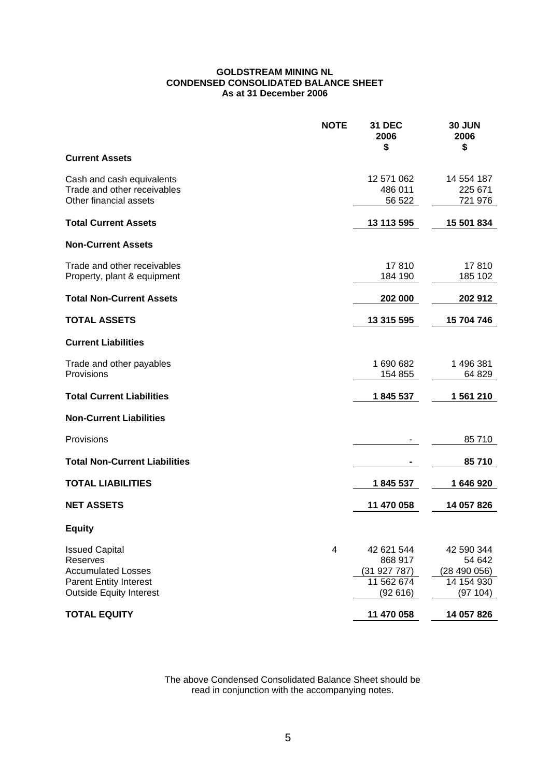# **GOLDSTREAM MINING NL CONDENSED CONSOLIDATED BALANCE SHEET As at 31 December 2006**

|                                                                                                                                   | <b>NOTE</b> | <b>31 DEC</b><br>2006<br>\$                                    | <b>30 JUN</b><br>2006<br>\$                                   |
|-----------------------------------------------------------------------------------------------------------------------------------|-------------|----------------------------------------------------------------|---------------------------------------------------------------|
| <b>Current Assets</b>                                                                                                             |             |                                                                |                                                               |
| Cash and cash equivalents<br>Trade and other receivables<br>Other financial assets                                                |             | 12 571 062<br>486 011<br>56 522                                | 14 554 187<br>225 671<br>721 976                              |
| <b>Total Current Assets</b>                                                                                                       |             | 13 113 595                                                     | 15 501 834                                                    |
| <b>Non-Current Assets</b>                                                                                                         |             |                                                                |                                                               |
| Trade and other receivables<br>Property, plant & equipment                                                                        |             | 17810<br>184 190                                               | 17810<br>185 102                                              |
| <b>Total Non-Current Assets</b>                                                                                                   |             | 202 000                                                        | 202 912                                                       |
| <b>TOTAL ASSETS</b>                                                                                                               |             | 13 315 595                                                     | 15 704 746                                                    |
| <b>Current Liabilities</b>                                                                                                        |             |                                                                |                                                               |
| Trade and other payables<br>Provisions                                                                                            |             | 1690682<br>154 855                                             | 1 496 381<br>64 829                                           |
| <b>Total Current Liabilities</b>                                                                                                  |             | 1845 537                                                       | 1 561 210                                                     |
| <b>Non-Current Liabilities</b>                                                                                                    |             |                                                                |                                                               |
| Provisions                                                                                                                        |             |                                                                | 85 710                                                        |
| <b>Total Non-Current Liabilities</b>                                                                                              |             |                                                                | 85710                                                         |
| <b>TOTAL LIABILITIES</b>                                                                                                          |             | 1845 537                                                       | 1646920                                                       |
| <b>NET ASSETS</b>                                                                                                                 |             | 11 470 058                                                     | 14 057 826                                                    |
| <b>Equity</b>                                                                                                                     |             |                                                                |                                                               |
| <b>Issued Capital</b><br>Reserves<br><b>Accumulated Losses</b><br><b>Parent Entity Interest</b><br><b>Outside Equity Interest</b> | 4           | 42 621 544<br>868 917<br>(31 927 787)<br>11 562 674<br>(92616) | 42 590 344<br>54 642<br>(28 490 056)<br>14 154 930<br>(97104) |
| <b>TOTAL EQUITY</b>                                                                                                               |             | 11 470 058                                                     | 14 057 826                                                    |

The above Condensed Consolidated Balance Sheet should be read in conjunction with the accompanying notes.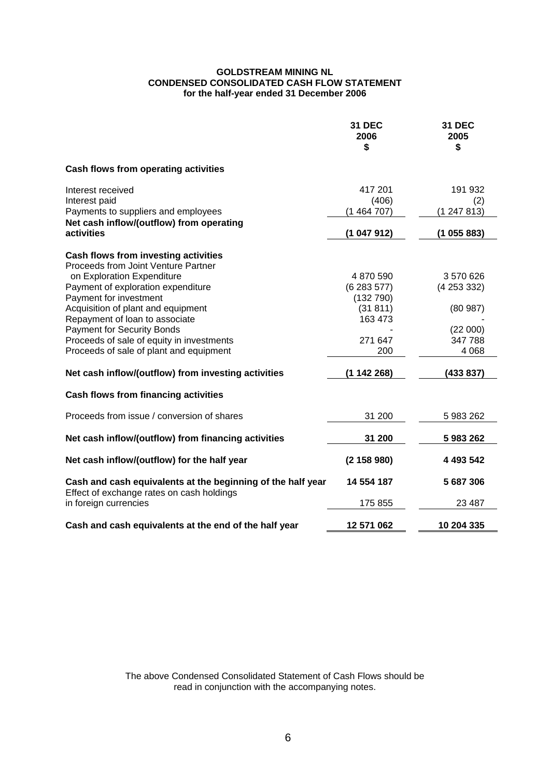# **GOLDSTREAM MINING NL CONDENSED CONSOLIDATED CASH FLOW STATEMENT for the half-year ended 31 December 2006**

|                                                                                                          | <b>31 DEC</b><br>2006<br>S | <b>31 DEC</b><br>2005<br>\$ |
|----------------------------------------------------------------------------------------------------------|----------------------------|-----------------------------|
| Cash flows from operating activities                                                                     |                            |                             |
| Interest received                                                                                        | 417 201                    | 191 932                     |
| Interest paid                                                                                            | (406)                      | (2)                         |
| Payments to suppliers and employees                                                                      | (1464707)                  | (1247813)                   |
| Net cash inflow/(outflow) from operating<br>activities                                                   | (1047912)                  | (1055883)                   |
| <b>Cash flows from investing activities</b>                                                              |                            |                             |
| Proceeds from Joint Venture Partner                                                                      |                            |                             |
| on Exploration Expenditure                                                                               | 4 870 590                  | 3 570 626                   |
| Payment of exploration expenditure                                                                       | (6283577)                  | (4253332)                   |
| Payment for investment                                                                                   | (132790)                   |                             |
| Acquisition of plant and equipment                                                                       | (31811)                    | (80987)                     |
| Repayment of loan to associate                                                                           | 163 473                    |                             |
| <b>Payment for Security Bonds</b>                                                                        |                            | (22 000)                    |
| Proceeds of sale of equity in investments                                                                | 271 647                    | 347 788                     |
| Proceeds of sale of plant and equipment                                                                  | 200                        | 4 0 6 8                     |
| Net cash inflow/(outflow) from investing activities                                                      | (1142268)                  | (433 837)                   |
| <b>Cash flows from financing activities</b>                                                              |                            |                             |
| Proceeds from issue / conversion of shares                                                               | 31 200                     | 5983262                     |
| Net cash inflow/(outflow) from financing activities                                                      | 31 200                     | 5983262                     |
| Net cash inflow/(outflow) for the half year                                                              | (2 158 980)                | 4 493 542                   |
| Cash and cash equivalents at the beginning of the half year<br>Effect of exchange rates on cash holdings | 14 554 187                 | 5 687 306                   |
| in foreign currencies                                                                                    | 175 855                    | 23 487                      |
| Cash and cash equivalents at the end of the half year                                                    | 12 571 062                 | 10 204 335                  |

The above Condensed Consolidated Statement of Cash Flows should be read in conjunction with the accompanying notes.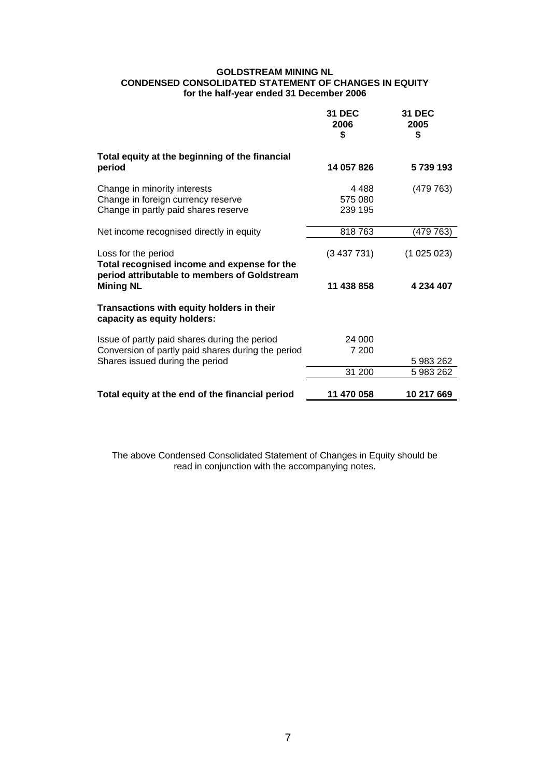#### **GOLDSTREAM MINING NL CONDENSED CONSOLIDATED STATEMENT OF CHANGES IN EQUITY for the half-year ended 31 December 2006**

|                                                                                                                                        | <b>31 DEC</b><br>2006<br>\$   | <b>31 DEC</b><br>2005<br>\$ |
|----------------------------------------------------------------------------------------------------------------------------------------|-------------------------------|-----------------------------|
| Total equity at the beginning of the financial<br>period                                                                               | 14 057 826                    | 5739193                     |
| Change in minority interests<br>Change in foreign currency reserve<br>Change in partly paid shares reserve                             | 4 4 8 8<br>575 080<br>239 195 | (479763)                    |
| Net income recognised directly in equity                                                                                               | 818763                        | (479 763)                   |
| Loss for the period<br>Total recognised income and expense for the<br>period attributable to members of Goldstream<br><b>Mining NL</b> | (3437731)<br>11 438 858       | (1025023)<br>4 234 407      |
| Transactions with equity holders in their<br>capacity as equity holders:                                                               |                               |                             |
| Issue of partly paid shares during the period<br>Conversion of partly paid shares during the period<br>Shares issued during the period | 24 000<br>7 200               | 5983262                     |
|                                                                                                                                        | 31 200                        | 5983262                     |
| Total equity at the end of the financial period                                                                                        | 11 470 058                    | 10 217 669                  |

The above Condensed Consolidated Statement of Changes in Equity should be read in conjunction with the accompanying notes.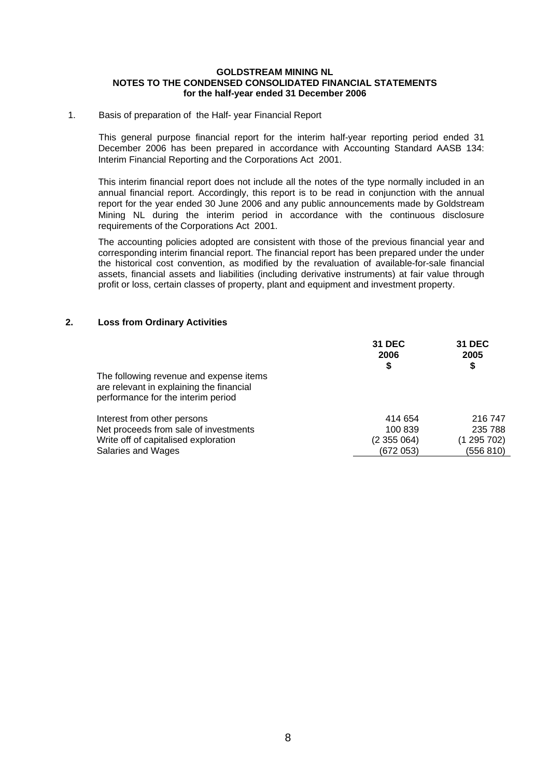#### 1. Basis of preparation of the Half- year Financial Report

 This general purpose financial report for the interim half-year reporting period ended 31 December 2006 has been prepared in accordance with Accounting Standard AASB 134: Interim Financial Reporting and the Corporations Act 2001.

 This interim financial report does not include all the notes of the type normally included in an annual financial report. Accordingly, this report is to be read in conjunction with the annual report for the year ended 30 June 2006 and any public announcements made by Goldstream Mining NL during the interim period in accordance with the continuous disclosure requirements of the Corporations Act 2001.

The accounting policies adopted are consistent with those of the previous financial year and corresponding interim financial report. The financial report has been prepared under the under the historical cost convention, as modified by the revaluation of available-for-sale financial assets, financial assets and liabilities (including derivative instruments) at fair value through profit or loss, certain classes of property, plant and equipment and investment property.

#### **2. Loss from Ordinary Activities**

| The following revenue and expense items<br>are relevant in explaining the financial<br>performance for the interim period | <b>31 DEC</b><br>2006 | <b>31 DEC</b><br>2005<br>\$ |
|---------------------------------------------------------------------------------------------------------------------------|-----------------------|-----------------------------|
| Interest from other persons                                                                                               | 414 654               | 216 747                     |
| Net proceeds from sale of investments                                                                                     | 100839                | 235 788                     |
| Write off of capitalised exploration                                                                                      | (2355064)             | (1295702)                   |
| Salaries and Wages                                                                                                        | (672 053)             | (556 810)                   |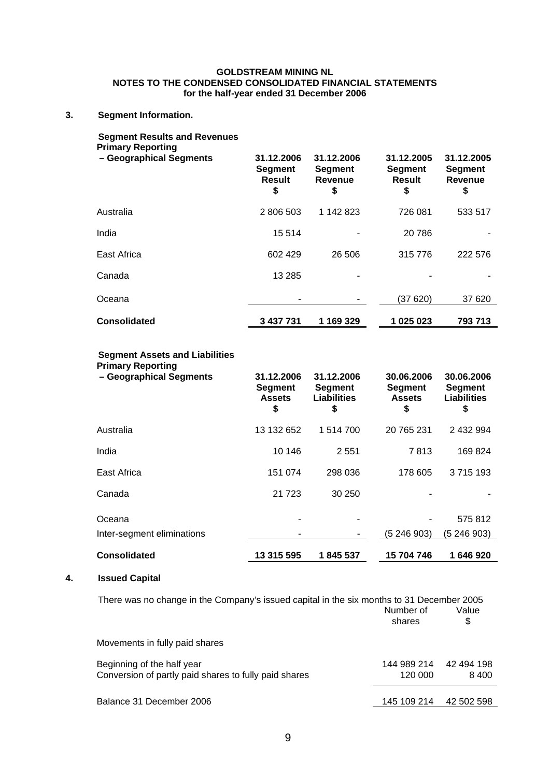# **3. Segment Information.**

| <b>Segment Results and Revenues</b><br><b>Primary Reporting</b><br>- Geographical Segments | 31.12.2006<br><b>Segment</b><br>Result<br>\$ | 31.12.2006<br><b>Segment</b><br>Revenue<br>\$ | 31.12.2005<br><b>Segment</b><br><b>Result</b><br>\$ | 31.12.2005<br><b>Segment</b><br>Revenue<br>\$ |
|--------------------------------------------------------------------------------------------|----------------------------------------------|-----------------------------------------------|-----------------------------------------------------|-----------------------------------------------|
| Australia                                                                                  | 2 806 503                                    | 1 142 823                                     | 726 081                                             | 533 517                                       |
| India                                                                                      | 15 514                                       |                                               | 20786                                               |                                               |
| East Africa                                                                                | 602 429                                      | 26 50 6                                       | 315 776                                             | 222 576                                       |
| Canada                                                                                     | 13 285                                       |                                               |                                                     |                                               |
| Oceana                                                                                     |                                              |                                               | (37 620)                                            | 37 620                                        |
| <b>Consolidated</b>                                                                        | 3 437 731                                    | 1 169 329                                     | 1 025 023                                           | 793 713                                       |

#### **Segment Assets and Liabilities Primary Reporting**

| - Geographical Segments              | 31.12.2006<br><b>Segment</b><br><b>Assets</b><br>\$ | 31.12.2006<br><b>Segment</b><br>Liabilities<br>\$ | 30.06.2006<br><b>Segment</b><br><b>Assets</b><br>\$ | 30.06.2006<br><b>Segment</b><br><b>Liabilities</b><br>S |
|--------------------------------------|-----------------------------------------------------|---------------------------------------------------|-----------------------------------------------------|---------------------------------------------------------|
| Australia                            | 13 132 652                                          | 1 514 700                                         | 20 765 231                                          | 2 432 994                                               |
| India                                | 10 146                                              | 2 5 5 1                                           | 7813                                                | 169 824                                                 |
| East Africa                          | 151 074                                             | 298 036                                           | 178 605                                             | 3715193                                                 |
| Canada                               | 21 7 23                                             | 30 250                                            |                                                     |                                                         |
| Oceana<br>Inter-segment eliminations |                                                     |                                                   | (5246903)                                           | 575 812<br>(5 246 903)                                  |
| <b>Consolidated</b>                  | 13 315 595                                          | 1845 537                                          | 15 704 746                                          | 1646920                                                 |

#### **4. Issued Capital**

| There was no change in the Company's issued capital in the six months to 31 December 2005 | Number of<br>shares    | Value<br>\$        |
|-------------------------------------------------------------------------------------------|------------------------|--------------------|
| Movements in fully paid shares                                                            |                        |                    |
| Beginning of the half year<br>Conversion of partly paid shares to fully paid shares       | 144 989 214<br>120 000 | 42 494 198<br>8400 |
| Balance 31 December 2006                                                                  | 145 109 214            | 42 502 598         |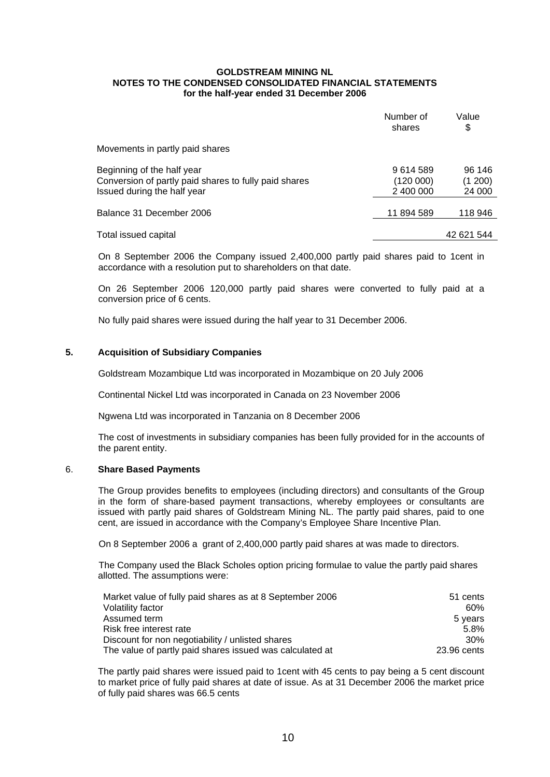|                                                                                                                    | Number of<br>shares               | Value<br>\$                 |
|--------------------------------------------------------------------------------------------------------------------|-----------------------------------|-----------------------------|
| Movements in partly paid shares                                                                                    |                                   |                             |
| Beginning of the half year<br>Conversion of partly paid shares to fully paid shares<br>Issued during the half year | 9614589<br>(120 000)<br>2 400 000 | 96 146<br>(1 200)<br>24 000 |
| Balance 31 December 2006                                                                                           | 11 894 589                        | 118 946                     |
| Total issued capital                                                                                               |                                   | 42 621 544                  |

On 8 September 2006 the Company issued 2,400,000 partly paid shares paid to 1cent in accordance with a resolution put to shareholders on that date.

On 26 September 2006 120,000 partly paid shares were converted to fully paid at a conversion price of 6 cents.

No fully paid shares were issued during the half year to 31 December 2006.

#### **5. Acquisition of Subsidiary Companies**

Goldstream Mozambique Ltd was incorporated in Mozambique on 20 July 2006

Continental Nickel Ltd was incorporated in Canada on 23 November 2006

Ngwena Ltd was incorporated in Tanzania on 8 December 2006

The cost of investments in subsidiary companies has been fully provided for in the accounts of the parent entity.

#### 6. **Share Based Payments**

The Group provides benefits to employees (including directors) and consultants of the Group in the form of share-based payment transactions, whereby employees or consultants are issued with partly paid shares of Goldstream Mining NL. The partly paid shares, paid to one cent, are issued in accordance with the Company's Employee Share Incentive Plan.

On 8 September 2006 a grant of 2,400,000 partly paid shares at was made to directors.

The Company used the Black Scholes option pricing formulae to value the partly paid shares allotted. The assumptions were:

| Market value of fully paid shares as at 8 September 2006 | 51 cents    |
|----------------------------------------------------------|-------------|
| Volatility factor                                        | 60%         |
| Assumed term                                             | 5 years     |
| Risk free interest rate                                  | 5.8%        |
| Discount for non negotiability / unlisted shares         | 30%         |
| The value of partly paid shares issued was calculated at | 23.96 cents |

The partly paid shares were issued paid to 1cent with 45 cents to pay being a 5 cent discount to market price of fully paid shares at date of issue. As at 31 December 2006 the market price of fully paid shares was 66.5 cents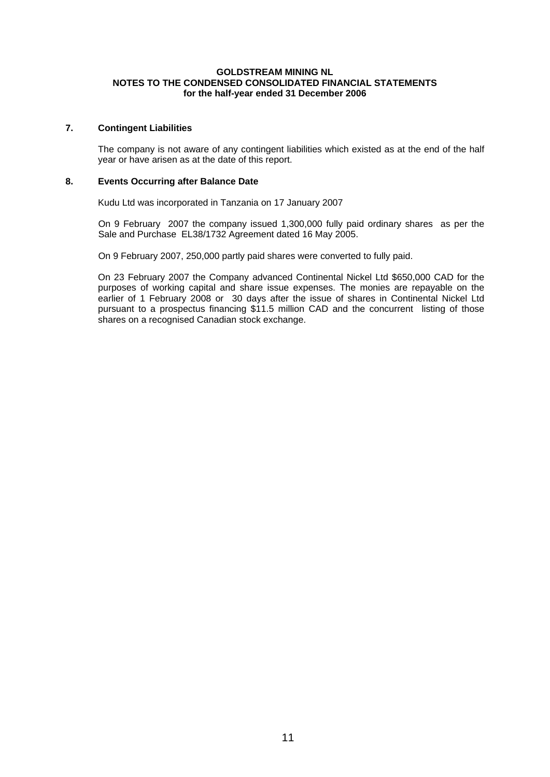# **7. Contingent Liabilities**

The company is not aware of any contingent liabilities which existed as at the end of the half year or have arisen as at the date of this report.

#### **8. Events Occurring after Balance Date**

Kudu Ltd was incorporated in Tanzania on 17 January 2007

On 9 February 2007 the company issued 1,300,000 fully paid ordinary shares as per the Sale and Purchase EL38/1732 Agreement dated 16 May 2005.

On 9 February 2007, 250,000 partly paid shares were converted to fully paid.

On 23 February 2007 the Company advanced Continental Nickel Ltd \$650,000 CAD for the purposes of working capital and share issue expenses. The monies are repayable on the earlier of 1 February 2008 or 30 days after the issue of shares in Continental Nickel Ltd pursuant to a prospectus financing \$11.5 million CAD and the concurrent listing of those shares on a recognised Canadian stock exchange.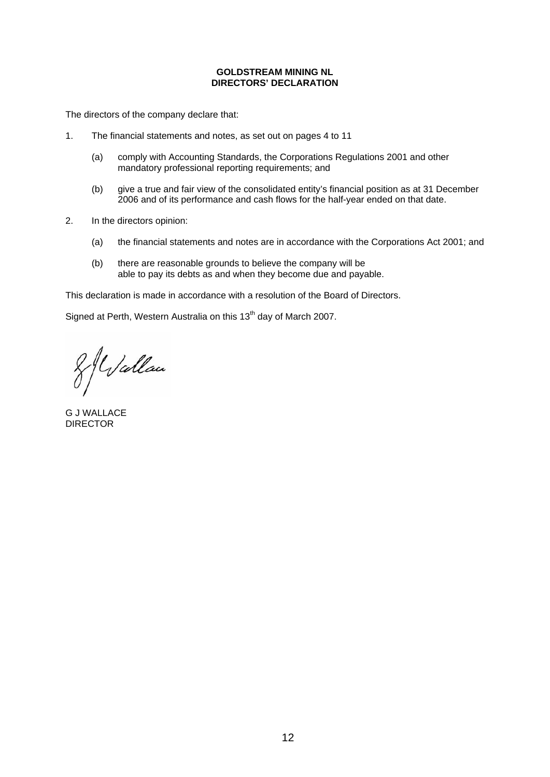#### **GOLDSTREAM MINING NL DIRECTORS' DECLARATION**

The directors of the company declare that:

- 1. The financial statements and notes, as set out on pages 4 to 11
	- (a) comply with Accounting Standards, the Corporations Regulations 2001 and other mandatory professional reporting requirements; and
	- (b) give a true and fair view of the consolidated entity's financial position as at 31 December 2006 and of its performance and cash flows for the half-year ended on that date.
- 2. In the directors opinion:
	- (a) the financial statements and notes are in accordance with the Corporations Act 2001; and
	- (b) there are reasonable grounds to believe the company will be able to pay its debts as and when they become due and payable.

This declaration is made in accordance with a resolution of the Board of Directors.

Signed at Perth, Western Australia on this  $13<sup>th</sup>$  day of March 2007.

& Wallau

G J WALLACE DIRECTOR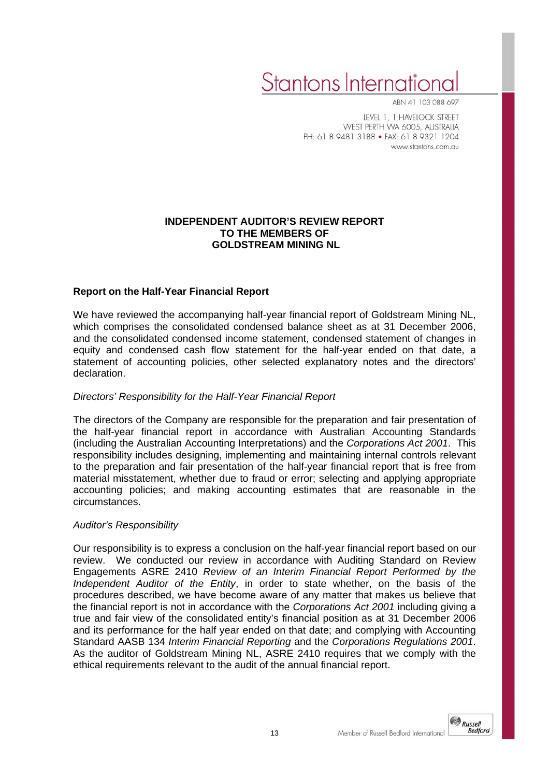# Stantons Internatior

ABN 41 103 088 697

LEVEL 1, 1 HAVELOCK STREET WEST PERTH WA 6005, AUSTRALIA PH: 61 8 9481 3188 · FAX: 61 8 9321 1204 www.stantons.com.au

# **INDEPENDENT AUDITOR'S REVIEW REPORT TO THE MEMBERS OF GOLDSTREAM MINING NL**

# **Report on the Half-Year Financial Report**

We have reviewed the accompanying half-year financial report of Goldstream Mining NL, which comprises the consolidated condensed balance sheet as at 31 December 2006, and the consolidated condensed income statement, condensed statement of changes in equity and condensed cash flow statement for the half-year ended on that date, a statement of accounting policies, other selected explanatory notes and the directors' declaration.

# *Directors' Responsibility for the Half-Year Financial Report*

The directors of the Company are responsible for the preparation and fair presentation of the half-year financial report in accordance with Australian Accounting Standards (including the Australian Accounting Interpretations) and the *Corporations Act 2001*. This responsibility includes designing, implementing and maintaining internal controls relevant to the preparation and fair presentation of the half-year financial report that is free from material misstatement, whether due to fraud or error; selecting and applying appropriate accounting policies; and making accounting estimates that are reasonable in the circumstances.

# *Auditor's Responsibility*

Our responsibility is to express a conclusion on the half-year financial report based on our review. We conducted our review in accordance with Auditing Standard on Review Engagements ASRE 2410 *Review of an Interim Financial Report Performed by the Independent Auditor of the Entity*, in order to state whether, on the basis of the procedures described, we have become aware of any matter that makes us believe that the financial report is not in accordance with the *Corporations Act 2001* including giving a true and fair view of the consolidated entity's financial position as at 31 December 2006 and its performance for the half year ended on that date; and complying with Accounting Standard AASB 134 *Interim Financial Reporting* and the *Corporations Regulations 2001*. As the auditor of Goldstream Mining NL, ASRE 2410 requires that we comply with the ethical requirements relevant to the audit of the annual financial report.

Bedford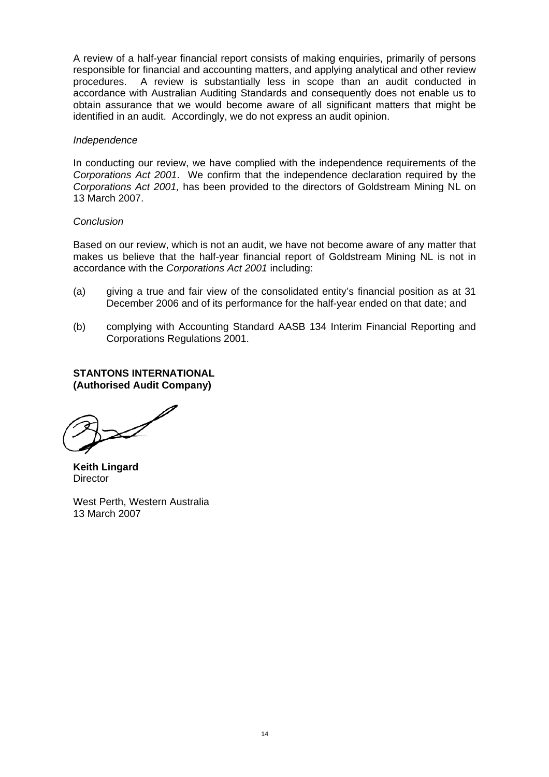A review of a half-year financial report consists of making enquiries, primarily of persons responsible for financial and accounting matters, and applying analytical and other review procedures. A review is substantially less in scope than an audit conducted in accordance with Australian Auditing Standards and consequently does not enable us to obtain assurance that we would become aware of all significant matters that might be identified in an audit. Accordingly, we do not express an audit opinion.

# *Independence*

In conducting our review, we have complied with the independence requirements of the *Corporations Act 2001*. We confirm that the independence declaration required by the *Corporations Act 2001,* has been provided to the directors of Goldstream Mining NL on 13 March 2007.

# *Conclusion*

Based on our review, which is not an audit, we have not become aware of any matter that makes us believe that the half-year financial report of Goldstream Mining NL is not in accordance with the *Corporations Act 2001* including:

- (a) giving a true and fair view of the consolidated entity's financial position as at 31 December 2006 and of its performance for the half-year ended on that date; and
- (b) complying with Accounting Standard AASB 134 Interim Financial Reporting and Corporations Regulations 2001.

# **STANTONS INTERNATIONAL (Authorised Audit Company)**

**Keith Lingard Director** 

West Perth, Western Australia 13 March 2007